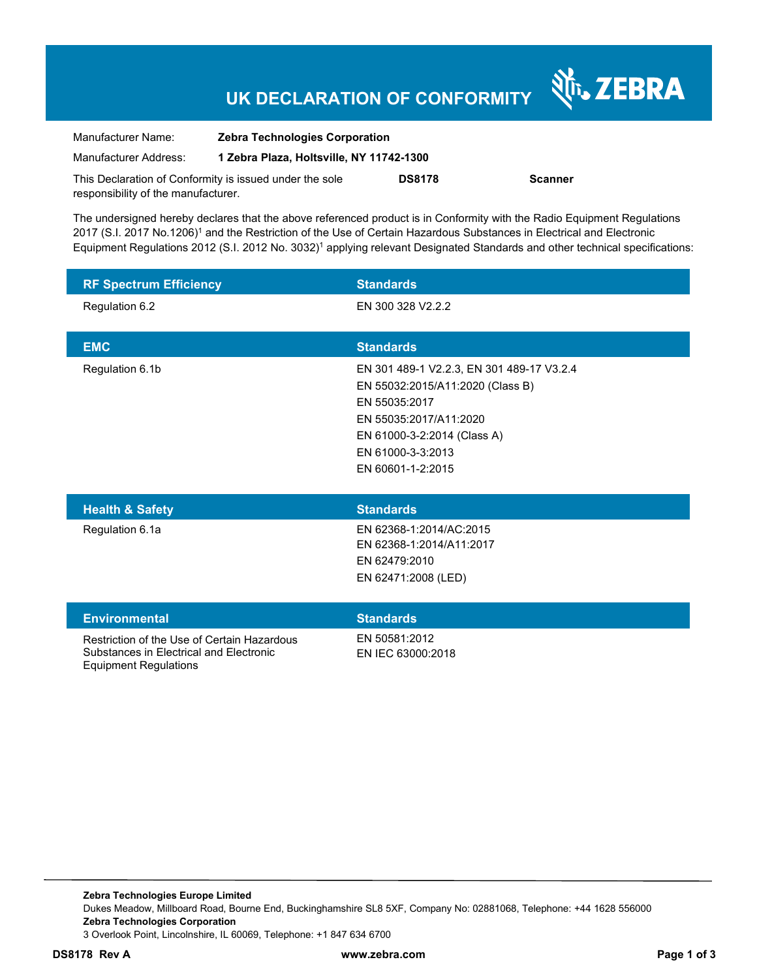## **UK DECLARATION OF CONFORMITY**

Nr. ZEBRA

| Manufacturer Name:                                      | <b>Zebra Technologies Corporation</b>    |               |                |
|---------------------------------------------------------|------------------------------------------|---------------|----------------|
| Manufacturer Address:                                   | 1 Zebra Plaza, Holtsville, NY 11742-1300 |               |                |
| This Declaration of Conformity is issued under the sole |                                          | <b>DS8178</b> | <b>Scanner</b> |
| responsibility of the manufacturer.                     |                                          |               |                |

The undersigned hereby declares that the above referenced product is in Conformity with the Radio Equipment Regulations 2017 (S.I. 2017 No.1206)<sup>1</sup> and the Restriction of the Use of Certain Hazardous Substances in Electrical and Electronic Equipment Regulations 2012 (S.I. 2012 No. 3032)<sup>1</sup> applying relevant Designated Standards and other technical specifications:

| <b>RF Spectrum Efficiency</b>                                                                                          | <b>Standards</b>                                                                                                                                                                                  |
|------------------------------------------------------------------------------------------------------------------------|---------------------------------------------------------------------------------------------------------------------------------------------------------------------------------------------------|
| Regulation 6.2                                                                                                         | EN 300 328 V2.2.2                                                                                                                                                                                 |
| <b>EMC</b>                                                                                                             | <b>Standards</b>                                                                                                                                                                                  |
| Regulation 6.1b                                                                                                        | EN 301 489-1 V2.2.3, EN 301 489-17 V3.2.4<br>EN 55032:2015/A11:2020 (Class B)<br>EN 55035:2017<br>EN 55035:2017/A11:2020<br>EN 61000-3-2:2014 (Class A)<br>EN 61000-3-3:2013<br>EN 60601-1-2:2015 |
| <b>Health &amp; Safety</b>                                                                                             | <b>Standards</b>                                                                                                                                                                                  |
| Regulation 6.1a                                                                                                        | EN 62368-1:2014/AC:2015<br>EN 62368-1:2014/A11:2017<br>EN 62479:2010<br>EN 62471:2008 (LED)                                                                                                       |
| <b>Environmental</b>                                                                                                   | <b>Standards</b>                                                                                                                                                                                  |
| Restriction of the Use of Certain Hazardous<br>Substances in Electrical and Electronic<br><b>Equipment Regulations</b> | EN 50581:2012<br>EN IEC 63000:2018                                                                                                                                                                |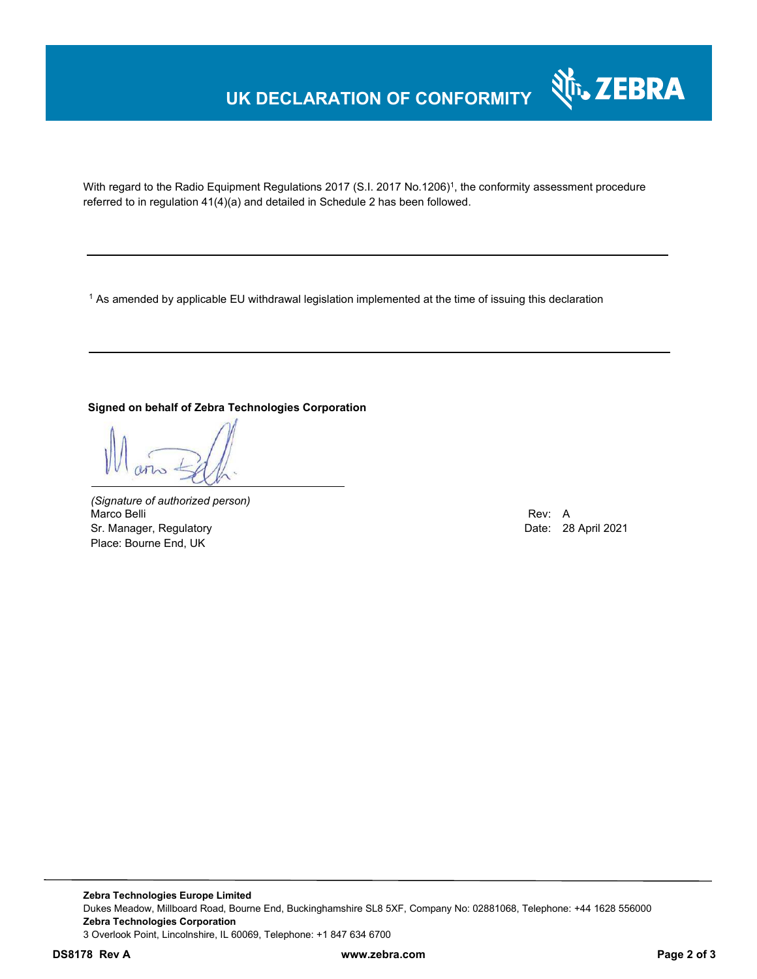### **UK DECLARATION OF CONFORMITY**



With regard to the Radio Equipment Regulations 2017 (S.I. 2017 No.1206)<sup>1</sup>, the conformity assessment procedure referred to in regulation 41(4)(a) and detailed in Schedule 2 has been followed.

1 As amended by applicable EU withdrawal legislation implemented at the time of issuing this declaration

#### **Signed on behalf of Zebra Technologies Corporation**

*(Signature of authorized person)* Marco Belli Rev: A Alexander Communication of the Communication of the Communication of the Communication of the Communication of the Communication of the Communication of the Communication of the Communication of the Comm Sr. Manager, Regulatory **Date: 28 April 2021** Place: Bourne End, UK